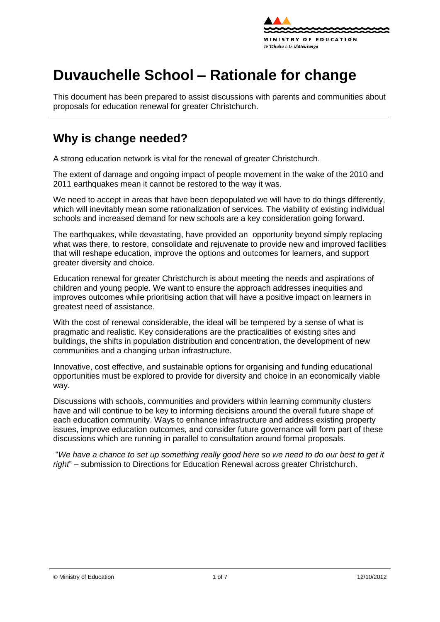

# **Duvauchelle School – Rationale for change**

This document has been prepared to assist discussions with parents and communities about proposals for education renewal for greater Christchurch.

### **Why is change needed?**

A strong education network is vital for the renewal of greater Christchurch.

The extent of damage and ongoing impact of people movement in the wake of the 2010 and 2011 earthquakes mean it cannot be restored to the way it was.

We need to accept in areas that have been depopulated we will have to do things differently, which will inevitably mean some rationalization of services. The viability of existing individual schools and increased demand for new schools are a key consideration going forward.

The earthquakes, while devastating, have provided an opportunity beyond simply replacing what was there, to [restore,](http://shapingeducation.minedu.govt.nz/guiding-the-process-of-renewal/restore) [consolidate](http://shapingeducation.minedu.govt.nz/guiding-the-process-of-renewal/consolidate) and [rejuvenate](http://shapingeducation.minedu.govt.nz/guiding-the-process-of-renewal/rejuvenate) to provide new and improved facilities that will reshape education, improve the options and outcomes for learners, and support greater diversity and choice.

Education renewal for greater Christchurch is about meeting the needs and aspirations of children and young people. We want to ensure the approach addresses inequities and improves outcomes while prioritising action that will have a positive impact on learners in greatest need of assistance.

With the cost of renewal considerable, the ideal will be tempered by a sense of what is pragmatic and realistic. Key considerations are the practicalities of existing sites and buildings, the shifts in population distribution and concentration, the development of new communities and a changing urban infrastructure.

Innovative, cost effective, and sustainable options for organising and funding educational opportunities must be explored to provide for diversity and choice in an economically viable way.

Discussions with schools, communities and providers within learning community clusters have and will continue to be key to informing decisions around the overall future shape of each education community. Ways to enhance infrastructure and address existing property issues, improve education outcomes, and consider future governance will form part of these discussions which are running in parallel to consultation around formal proposals.

"*We have a chance to set up something really good here so we need to do our best to get it right*" – submission to Directions for Education Renewal across greater Christchurch.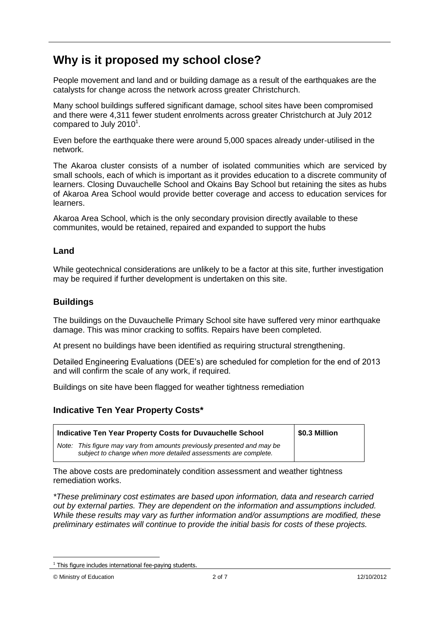# **Why is it proposed my school close?**

People movement and land and or building damage as a result of the earthquakes are the catalysts for change across the network across greater Christchurch.

Many school buildings suffered significant damage, school sites have been compromised and there were 4,311 fewer student enrolments across greater Christchurch at July 2012 compared to July 2010 $^1$ .

Even before the earthquake there were around 5,000 spaces already under-utilised in the network.

The Akaroa cluster consists of a number of isolated communities which are serviced by small schools, each of which is important as it provides education to a discrete community of learners. Closing Duvauchelle School and Okains Bay School but retaining the sites as hubs of Akaroa Area School would provide better coverage and access to education services for learners.

Akaroa Area School, which is the only secondary provision directly available to these communites, would be retained, repaired and expanded to support the hubs

### **Land**

While geotechnical considerations are unlikely to be a factor at this site, further investigation may be required if further development is undertaken on this site.

### **Buildings**

The buildings on the Duvauchelle Primary School site have suffered very minor earthquake damage. This was minor cracking to soffits. Repairs have been completed.

At present no buildings have been identified as requiring structural strengthening.

Detailed Engineering Evaluations (DEE"s) are scheduled for completion for the end of 2013 and will confirm the scale of any work, if required.

Buildings on site have been flagged for weather tightness remediation

### **Indicative Ten Year Property Costs\***

| Indicative Ten Year Property Costs for Duvauchelle School                                                                                 | \$0.3 Million |
|-------------------------------------------------------------------------------------------------------------------------------------------|---------------|
| Note: This figure may vary from amounts previously presented and may be<br>subject to change when more detailed assessments are complete. |               |

The above costs are predominately condition assessment and weather tightness remediation works.

*\*These preliminary cost estimates are based upon information, data and research carried out by external parties. They are dependent on the information and assumptions included. While these results may vary as further information and/or assumptions are modified, these preliminary estimates will continue to provide the initial basis for costs of these projects.*

1

 $1$  This figure includes international fee-paying students.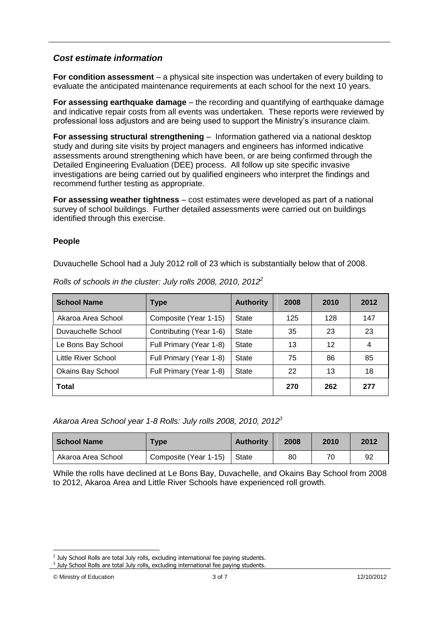### *Cost estimate information*

**For condition assessment** – a physical site inspection was undertaken of every building to evaluate the anticipated maintenance requirements at each school for the next 10 years.

**For assessing earthquake damage** – the recording and quantifying of earthquake damage and indicative repair costs from all events was undertaken. These reports were reviewed by professional loss adjustors and are being used to support the Ministry"s insurance claim.

**For assessing structural strengthening** – Information gathered via a national desktop study and during site visits by project managers and engineers has informed indicative assessments around strengthening which have been, or are being confirmed through the Detailed Engineering Evaluation (DEE) process. All follow up site specific invasive investigations are being carried out by qualified engineers who interpret the findings and recommend further testing as appropriate.

**For assessing weather tightness** – cost estimates were developed as part of a national survey of school buildings. Further detailed assessments were carried out on buildings identified through this exercise.

#### **People**

Duvauchelle School had a July 2012 roll of 23 which is substantially below that of 2008.

| <b>School Name</b>       | <b>Type</b>                      | <b>Authority</b> | 2008 | 2010 | 2012 |
|--------------------------|----------------------------------|------------------|------|------|------|
| Akaroa Area School       | Composite (Year 1-15)            | State            | 125  | 128  | 147  |
| Duvauchelle School       | Contributing (Year 1-6)<br>State |                  | 35   | 23   | 23   |
| Le Bons Bay School       | Full Primary (Year 1-8)          | State            | 13   | 12   | 4    |
| Little River School      | Full Primary (Year 1-8)          | State            | 75   | 86   | 85   |
| <b>Okains Bay School</b> | Full Primary (Year 1-8)          | State            | 22   | 13   | 18   |
| <b>Total</b>             |                                  |                  | 270  | 262  | 277  |

*Rolls of schools in the cluster: July rolls 2008, 2010, 2012<sup>2</sup>*

*Akaroa Area School year 1-8 Rolls: July rolls 2008, 2010, 2012<sup>3</sup>*

| <b>School Name</b> | Type                  | <b>Authority</b> | 2008 | 2010 | 2012 |
|--------------------|-----------------------|------------------|------|------|------|
| Akaroa Area School | Composite (Year 1-15) | State            | 80   | 70   | 92   |

While the rolls have declined at Le Bons Bay, Duvachelle, and Okains Bay School from 2008 to 2012, Akaroa Area and Little River Schools have experienced roll growth.

<sup>1</sup> <sup>2</sup> July School Rolls are total July rolls, excluding international fee paying students.

<sup>&</sup>lt;sup>3</sup> July School Rolls are total July rolls, excluding international fee paying students.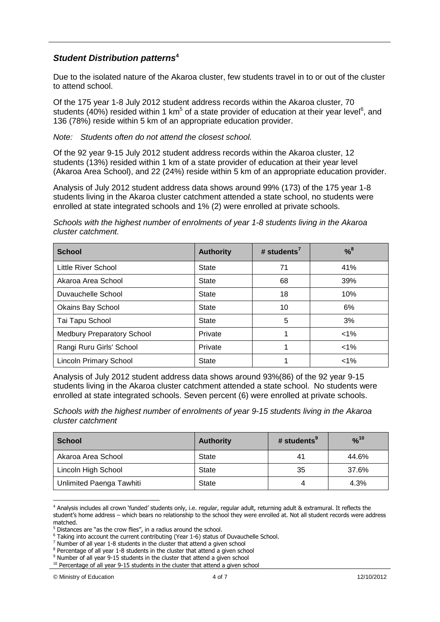### *Student Distribution patterns***<sup>4</sup>**

Due to the isolated nature of the Akaroa cluster, few students travel in to or out of the cluster to attend school.

Of the 175 year 1-8 July 2012 student address records within the Akaroa cluster, 70 students (40%) resided within 1 km<sup>5</sup> of a state provider of education at their year level<sup>6</sup>, and 136 (78%) reside within 5 km of an appropriate education provider.

#### *Note: Students often do not attend the closest school.*

Of the 92 year 9-15 July 2012 student address records within the Akaroa cluster, 12 students (13%) resided within 1 km of a state provider of education at their year level (Akaroa Area School), and 22 (24%) reside within 5 km of an appropriate education provider.

Analysis of July 2012 student address data shows around 99% (173) of the 175 year 1-8 students living in the Akaroa cluster catchment attended a state school, no students were enrolled at state integrated schools and 1% (2) were enrolled at private schools.

*Schools with the highest number of enrolments of year 1-8 students living in the Akaroa cluster catchment.*

| <b>School</b>                     | <b>Authority</b> | # students <sup>7</sup> | $% ^{8}$ |
|-----------------------------------|------------------|-------------------------|----------|
| Little River School               | <b>State</b>     | 71                      | 41%      |
| Akaroa Area School                | <b>State</b>     | 68                      | 39%      |
| Duvauchelle School                | <b>State</b>     | 18                      | 10%      |
| <b>Okains Bay School</b>          | <b>State</b>     | 10                      | 6%       |
| Tai Tapu School                   | <b>State</b>     | 5                       | 3%       |
| <b>Medbury Preparatory School</b> | Private          |                         | $< 1\%$  |
| Rangi Ruru Girls' School          | Private          |                         | $< 1\%$  |
| <b>Lincoln Primary School</b>     | <b>State</b>     |                         | $< 1\%$  |

Analysis of July 2012 student address data shows around 93%(86) of the 92 year 9-15 students living in the Akaroa cluster catchment attended a state school. No students were enrolled at state integrated schools. Seven percent (6) were enrolled at private schools.

*Schools with the highest number of enrolments of year 9-15 students living in the Akaroa cluster catchment*

| <b>School</b>            | <b>Authority</b> | # students $9$ | %10   |
|--------------------------|------------------|----------------|-------|
| Akaroa Area School       | <b>State</b>     | 41             | 44.6% |
| Lincoln High School      | <b>State</b>     | 35             | 37.6% |
| Unlimited Paenga Tawhiti | <b>State</b>     |                | 4.3%  |

<sup>1</sup> <sup>4</sup> Analysis includes all crown "funded" students only, i.e. regular, regular adult, returning adult & extramural. It reflects the student"s home address – which bears no relationship to the school they were enrolled at. Not all student records were address matched.

<sup>&</sup>lt;sup>5</sup> Distances are "as the crow flies", in a radius around the school.

<sup>6</sup> Taking into account the current contributing (Year 1-6) status of Duvauchelle School.

 $<sup>7</sup>$  Number of all year 1-8 students in the cluster that attend a given school</sup>

<sup>&</sup>lt;sup>8</sup> Percentage of all year 1-8 students in the cluster that attend a given school

<sup>&</sup>lt;sup>9</sup> Number of all year 9-15 students in the cluster that attend a given school

 $10$  Percentage of all year 9-15 students in the cluster that attend a given school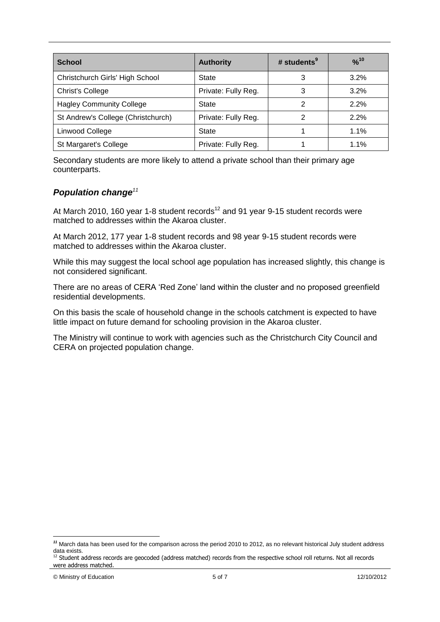| <b>School</b>                      | <b>Authority</b>    | # students $9$ | $\frac{9}{6}$ <sup>10</sup> |
|------------------------------------|---------------------|----------------|-----------------------------|
| Christchurch Girls' High School    | State               | 3              | 3.2%                        |
| <b>Christ's College</b>            | Private: Fully Reg. | 3              | 3.2%                        |
| <b>Hagley Community College</b>    | <b>State</b>        | 2              | 2.2%                        |
| St Andrew's College (Christchurch) | Private: Fully Reg. |                | 2.2%                        |
| Linwood College                    | <b>State</b>        |                | 1.1%                        |
| St Margaret's College              | Private: Fully Reg. |                | 1.1%                        |

Secondary students are more likely to attend a private school than their primary age counterparts.

### *Population change<sup>11</sup>*

At March 2010, 160 year 1-8 student records<sup>12</sup> and 91 year 9-15 student records were matched to addresses within the Akaroa cluster.

At March 2012, 177 year 1-8 student records and 98 year 9-15 student records were matched to addresses within the Akaroa cluster.

While this may suggest the local school age population has increased slightly, this change is not considered significant.

There are no areas of CERA "Red Zone" land within the cluster and no proposed greenfield residential developments.

On this basis the scale of household change in the schools catchment is expected to have little impact on future demand for schooling provision in the Akaroa cluster.

The Ministry will continue to work with agencies such as the Christchurch City Council and CERA on projected population change.

<sup>1</sup> *<sup>11</sup>* March data has been used for the comparison across the period 2010 to 2012, as no relevant historical July student address data exists.

<sup>&</sup>lt;sup>12</sup> Student address records are geocoded (address matched) records from the respective school roll returns. Not all records were address matched.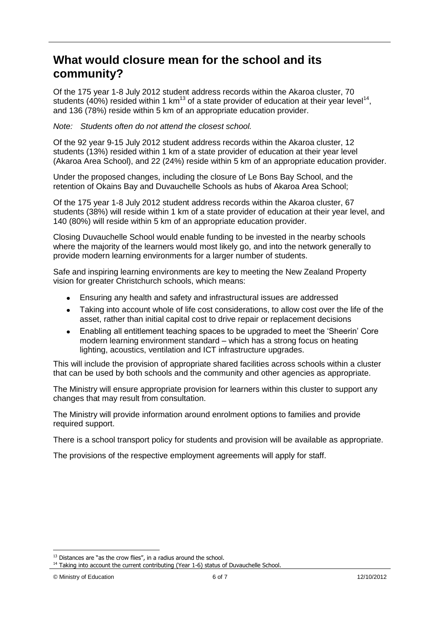### **What would closure mean for the school and its community?**

Of the 175 year 1-8 July 2012 student address records within the Akaroa cluster, 70 students (40%) resided within 1  $km^{13}$  of a state provider of education at their year level<sup>14</sup>, and 136 (78%) reside within 5 km of an appropriate education provider.

#### *Note: Students often do not attend the closest school.*

Of the 92 year 9-15 July 2012 student address records within the Akaroa cluster, 12 students (13%) resided within 1 km of a state provider of education at their year level (Akaroa Area School), and 22 (24%) reside within 5 km of an appropriate education provider.

Under the proposed changes, including the closure of Le Bons Bay School, and the retention of Okains Bay and Duvauchelle Schools as hubs of Akaroa Area School;

Of the 175 year 1-8 July 2012 student address records within the Akaroa cluster, 67 students (38%) will reside within 1 km of a state provider of education at their year level, and 140 (80%) will reside within 5 km of an appropriate education provider.

Closing Duvauchelle School would enable funding to be invested in the nearby schools where the majority of the learners would most likely go, and into the network generally to provide modern learning environments for a larger number of students.

Safe and inspiring learning environments are key to meeting the New Zealand Property vision for greater Christchurch schools, which means:

- Ensuring any health and safety and infrastructural issues are addressed  $\bullet$
- Taking into account whole of life cost considerations, to allow cost over the life of the  $\bullet$ asset, rather than initial capital cost to drive repair or replacement decisions
- Enabling all entitlement teaching spaces to be upgraded to meet the "Sheerin" Core  $\bullet$ modern learning environment standard – which has a strong focus on heating lighting, acoustics, ventilation and ICT infrastructure upgrades.

This will include the provision of appropriate shared facilities across schools within a cluster that can be used by both schools and the community and other agencies as appropriate.

The Ministry will ensure appropriate provision for learners within this cluster to support any changes that may result from consultation.

The Ministry will provide information around enrolment options to families and provide required support.

There is a school transport policy for students and provision will be available as appropriate.

The provisions of the respective employment agreements will apply for staff.

<sup>1</sup>  $13$  Distances are "as the crow flies", in a radius around the school.

<sup>&</sup>lt;sup>14</sup> Taking into account the current contributing (Year 1-6) status of Duvauchelle School.